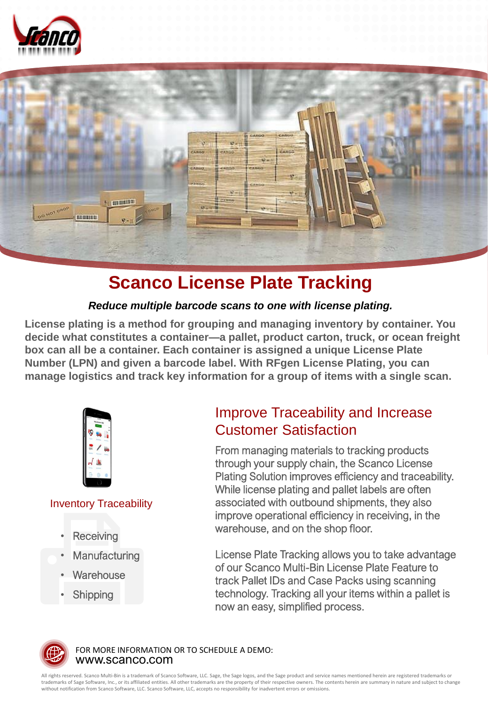



# **Scanco License Plate Tracking**

## *Reduce multiple barcode scans to one with license plating.*

**License plating is a method for grouping and managing inventory by container. You decide what constitutes a container—a pallet, product carton, truck, or ocean freight box can all be a container. Each container is assigned a unique License Plate Number (LPN) and given a barcode label. With RFgen License Plating, you can manage logistics and track key information for a group of items with a single scan.**



## Inventory Traceability

- **Receiving**
- **Manufacturing**
- **Warehouse**
- **Shipping**

## Improve Traceability and Increase Customer Satisfaction

From managing materials to tracking products through your supply chain, the Scanco License Plating Solution improves efficiency and traceability. While license plating and pallet labels are often associated with outbound shipments, they also improve operational efficiency in receiving, in the warehouse, and on the shop floor.

License Plate Tracking allows you to take advantage of our Scanco Multi-Bin License Plate Feature to track Pallet IDs and Case Packs using scanning technology. Tracking all your items within a pallet is now an easy, simplified process.



www.scanco.com FOR MORE INFORMATION OR TO SCHEDULE A DEMO:

All rights reserved. Scanco Multi-Bin is a trademark of Scanco Software, LLC. Sage, the Sage logos, and the Sage product and service names mentioned herein are registered trademarks or trademarks of Sage Software, Inc., or its affiliated entities. All other trademarks are the property of their respective owners. The contents herein are summary in nature and subject to change without notification from Scanco Software, LLC. Scanco Software, LLC, accepts no responsibility for inadvertent errors or omissions.